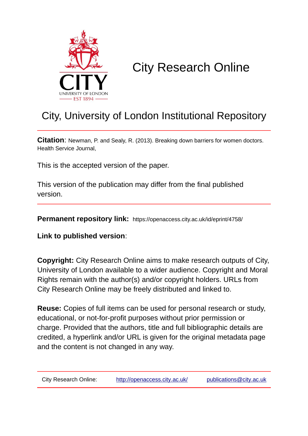

## City Research Online

## City, University of London Institutional Repository

**Citation**: Newman, P. and Sealy, R. (2013). Breaking down barriers for women doctors. Health Service Journal,

This is the accepted version of the paper.

This version of the publication may differ from the final published version.

**Permanent repository link:** https://openaccess.city.ac.uk/id/eprint/4758/

**Link to published version**:

**Copyright:** City Research Online aims to make research outputs of City, University of London available to a wider audience. Copyright and Moral Rights remain with the author(s) and/or copyright holders. URLs from City Research Online may be freely distributed and linked to.

**Reuse:** Copies of full items can be used for personal research or study, educational, or not-for-profit purposes without prior permission or charge. Provided that the authors, title and full bibliographic details are credited, a hyperlink and/or URL is given for the original metadata page and the content is not changed in any way.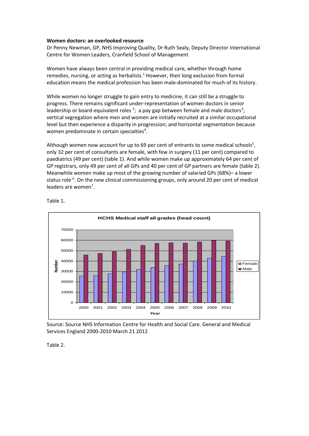## **Women doctors: an overlooked resource**

Dr Penny Newman, GP, NHS Improving Quality, Dr Ruth Sealy, Deputy Director International Centre for Women Leaders, Cranfield School of Management

Women have always been central in providing medical care, whether through home remedies, nursing, or acting as herbalists.<sup>1</sup> However, their long exclusion from formal education means the medical profession has been male-dominated for much of its history.

While women no longer struggle to gain entry to medicine, it can still be a struggle to progress. There remains significant under-representation of women doctors in senior leadership or board-equivalent roles  $2$ ; a pay gap between female and male doctors<sup>3</sup>; vertical segregation where men and women are initially recruited at a similar occupational level but then experience a disparity in progression; and horizontal segmentation because women predominate in certain specialties<sup>4</sup>.

Although women now account for up to 69 per cent of entrants to some medical schools<sup>5</sup>, only 32 per cent of consultants are female, with few in surgery (11 per cent) compared to paediatrics (49 per cent) (table 1). And while women make up approximately 64 per cent of GP registrars, only 49 per cent of all GPs and 40 per cent of GP partners are female (table 2). Meanwhile women make up most of the growing number of salaried GPs (68%)– a lower status role <sup>6</sup>. On the new clinical commissioning groups, only around 20 per cent of medical leaders are women<sup>7</sup>.



Table 1.

Source: Source NHS Information Centre for Health and Social Care. General and Medical Services England 2000-2010 March 21 2012

Table 2.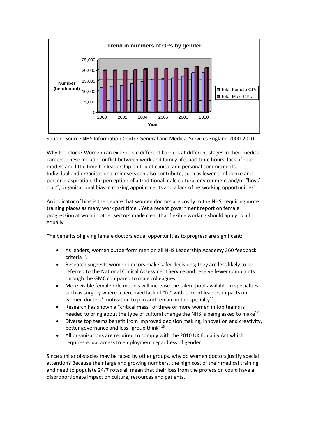

Source: Source NHS Information Centre General and Medical Services England 2000-2010

Why the block? Women can experience different barriers at different stages in their medical careers. These include conflict between work and family life, part time hours, lack of role models and little time for leadership on top of clinical and personal commitments. Individual and organisational mindsets can also contribute, such as lower confidence and personal aspiration, the perception of a traditional male cultural environment and/or "boys' club", organisational bias in making appointments and a lack of networking opportunities<sup>8</sup>.

An indicator of bias is the debate that women doctors are costly to the NHS, requiring more training places as many work part time<sup>9</sup>. Yet a recent government report on female progression at work in other sectors made clear that flexible working should apply to all equally.

The benefits of giving female doctors equal opportunities to progress are significant:

- As leaders, women outperform men on all NHS Leadership Academy 360 feedback criteria<sup>10</sup>.
- Research suggests women doctors make safer decisions; they are less likely to be referred to the National Clinical Assessment Service and receive fewer complaints through the GMC compared to male colleagues.
- More visible female role models will increase the talent pool available in specialties such as surgery where a perceived lack of "fit" with current leaders impacts on women doctors' motivation to join and remain in the specialty $^{11}$ .
- Research has shown a "critical mass" of three or more women in top teams is needed to bring about the type of cultural change the NHS is being asked to make<sup>12</sup>
- Diverse top teams benefit from improved decision making, innovation and creativity, better governance and less "group think"<sup>13</sup>
- All organisations are required to comply with the 2010 UK Equality Act which requires equal access to employment regardless of gender.

Since similar obstacles may be faced by other groups, why do women doctors justify special attention? Because their large and growing numbers, the high cost of their medical training and need to populate 24/7 rotas all mean that their loss from the profession could have a disproportionate impact on culture, resources and patients.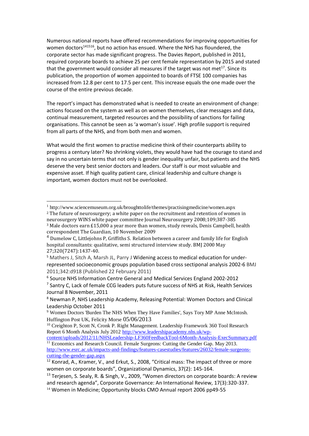Numerous national reports have offered recommendations for improving opportunities for women doctors<sup>141516</sup>, but no action has ensued. Where the NHS has floundered, the corporate sector has made significant progress. The Davies Report, published in 2011, required corporate boards to achieve 25 per cent female representation by 2015 and stated that the government would consider all measures if the target was not met<sup>17</sup>. Since its publication, the proportion of women appointed to boards of FTSE 100 companies has increased from 12.8 per cent to 17.5 per cent. This increase equals the one made over the course of the entire previous decade.

The report's impact has demonstrated what is needed to create an environment of change: actions focused on the system as well as on women themselves, clear messages and data, continual measurement, targeted resources and the possibility of sanctions for failing organisations. This cannot be seen as 'a woman's issue'. High profile support is required from all parts of the NHS, and from both men and women.

What would the first women to practise medicine think of their counterparts ability to progress a century later? No shrinking violets, they would have had the courage to stand and say in no uncertain terms that not only is gender inequality unfair, but patients and the NHS deserve the very best senior doctors and leaders. Our staff is our most valuable and expensive asset. If high quality patient care, clinical leadership and culture change is important, women doctors must not be overlooked.

<u>.</u>

<sup>3</sup> Male doctors earn £15,000 a year more than women, study reveals, Denis [Campbell,](http://www.guardian.co.uk/profile/deniscampbell) health correspondent The [Guardian,](http://www.guardian.co.uk/theguardian) 10 November 2009

6 Source NHS Information Centre General and Medical Services England 2002-2012

<sup>1</sup> http://www.sciencemuseum.org.uk/broughttolife/themes/practisingmedicine/women.aspx <sup>2</sup> The future of neurosurgery; a white paper on the recruitment and retention of women in neurosurgery WINS white paper committee Journal Neurosurgery 2008;109;387-385

<sup>4</sup> Dumelow C, Littlejohns P, Griffiths S. Relation between a career and family life for English hospital consultants: qualitative, semi structured interview study. BMJ 2000 May 27;320(7247):1437-40.

<sup>&</sup>lt;sup>5</sup> Mathers J, Sitch A, Marsh JL, Parry J Widening access to medical education for underrepresented socioeconomic groups population based cross sectiponal analysis 2002-6 BMJ 2011;342:d918 (Published 22 February 2011)

<sup>&</sup>lt;sup>7</sup> Santry C, Lack of female CCG leaders puts future success of NHS at Risk, Health Services Journal 8 November, 2011

<sup>8</sup> Newman P, NHS Leadership Academy, Releasing Potential: Women Doctors and Clinical Leadership October 2011

<sup>9</sup> Women Doctors 'Burden The NHS When They Have Families', Says Tory MP Anne McIntosh. Huffington Post UK, Felicity Morse 05/06/2013

<sup>&</sup>lt;sup>10</sup> Creighton P, Scott N, Cronk P. Right Management. Leadership Framework 360 Tool Research Report 6 Month Analysis July 2012 [http://www.leadershipacademy.nhs.uk/wp-](http://www.leadershipacademy.nhs.uk/wp-content/uploads/2012/11/NHSLeadership-LF360FeedbackTool-6Month-Analysis-ExecSummary.pdf)

[content/uploads/2012/11/NHSLeadership-LF360FeedbackTool-6Month-Analysis-ExecSummary.pdf](http://www.leadershipacademy.nhs.uk/wp-content/uploads/2012/11/NHSLeadership-LF360FeedbackTool-6Month-Analysis-ExecSummary.pdf) <sup>11</sup> Economics and Research Council. Female Surgeons: Cutting the Gender Gap. May 2013. [http://www.esrc.ac.uk/impacts-and-findings/features-casestudies/features/26032/female-surgeons](http://www.esrc.ac.uk/impacts-and-findings/features-casestudies/features/26032/female-surgeons-cutting-the-gender-gap.aspx)[cutting-the-gender-gap.aspx](http://www.esrc.ac.uk/impacts-and-findings/features-casestudies/features/26032/female-surgeons-cutting-the-gender-gap.aspx)

 $12$  Konrad, A., Kramer, V., and Erkut, S., 2008, "Critical mass: The impact of three or more women on corporate boards", Organizational Dynamics, 37(2): 145-164.

<sup>&</sup>lt;sup>13</sup> Terjesen, S. Sealy, R. & Singh, V., 2009, "Women directors on corporate boards: A review and research agenda", Corporate Governance: An International Review, 17(3):320-337.

<sup>&</sup>lt;sup>14</sup> Women in Medicine; Opportunity blocks CMO Annual report 2006 pp49-55